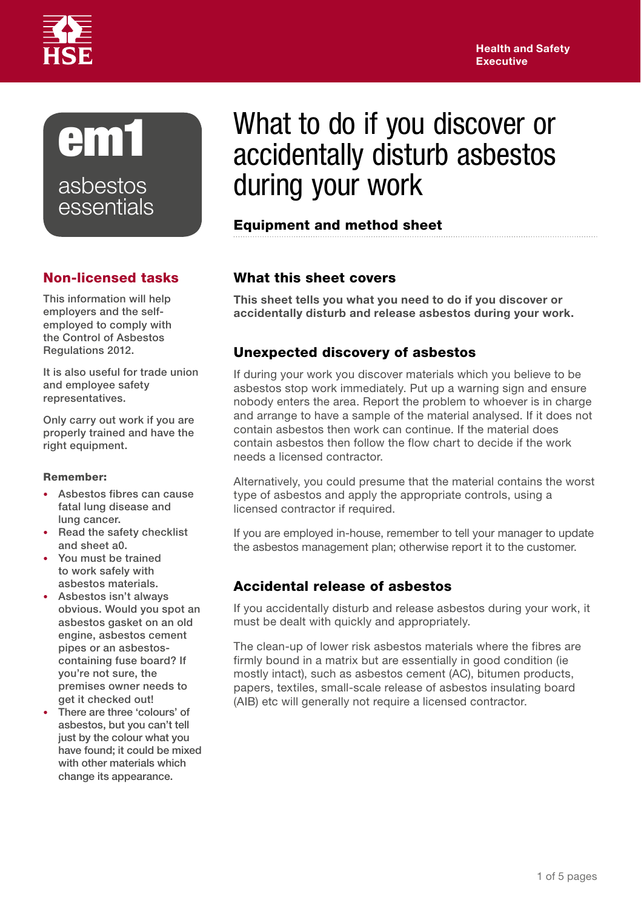



# Non-licensed tasks

This information will help employers and the selfemployed to comply with the Control of Asbestos Regulations 2012.

It is also useful for trade union and employee safety representatives.

Only carry out work if you are properly trained and have the right equipment.

#### Remember:

- Asbestos fibres can cause fatal lung disease and lung cancer.
- Read the safety checklist and sheet a0.
- You must be trained to work safely with asbestos materials.
- Asbestos isn't always obvious. Would you spot an asbestos gasket on an old engine, asbestos cement pipes or an asbestoscontaining fuse board? If you're not sure, the premises owner needs to get it checked out!
- There are three 'colours' of asbestos, but you can't tell just by the colour what you have found; it could be mixed with other materials which change its appearance.

# What to do if you discover or accidentally disturb asbestos during your work

# Equipment and method sheet

# What this sheet covers

This sheet tells you what you need to do if you discover or accidentally disturb and release asbestos during your work.

# Unexpected discovery of asbestos

If during your work you discover materials which you believe to be asbestos stop work immediately. Put up a warning sign and ensure nobody enters the area. Report the problem to whoever is in charge and arrange to have a sample of the material analysed. If it does not contain asbestos then work can continue. If the material does contain asbestos then follow the flow chart to decide if the work needs a licensed contractor.

Alternatively, you could presume that the material contains the worst type of asbestos and apply the appropriate controls, using a licensed contractor if required.

If you are employed in-house, remember to tell your manager to update the asbestos management plan; otherwise report it to the customer.

# Accidental release of asbestos

If you accidentally disturb and release asbestos during your work, it must be dealt with quickly and appropriately.

The clean-up of lower risk asbestos materials where the fibres are firmly bound in a matrix but are essentially in good condition (ie mostly intact), such as asbestos cement (AC), bitumen products, papers, textiles, small-scale release of asbestos insulating board (AIB) etc will generally not require a licensed contractor.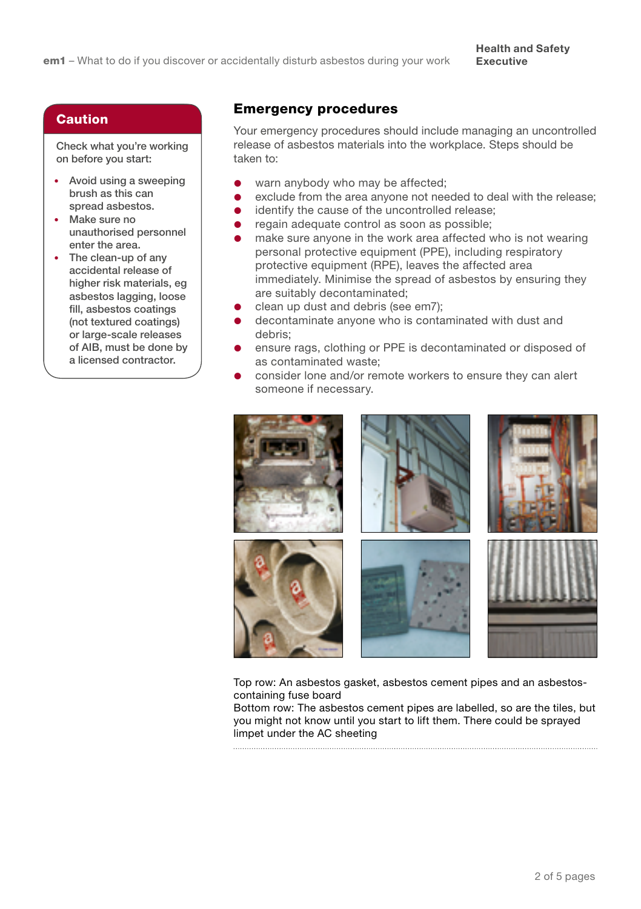#### Caution

Check what you're working on before you start:

- Avoid using a sweeping brush as this can spread asbestos.
- Make sure no unauthorised personnel enter the area.
- The clean-up of any accidental release of higher risk materials, eg asbestos lagging, loose fill, asbestos coatings (not textured coatings) or large-scale releases of AIB, must be done by a licensed contractor.

### Emergency procedures

Your emergency procedures should include managing an uncontrolled release of asbestos materials into the workplace. Steps should be taken to:

- warn anybody who may be affected;
- exclude from the area anyone not needed to deal with the release;
- **•** identify the cause of the uncontrolled release:
- **e** regain adequate control as soon as possible;
- make sure anyone in the work area affected who is not wearing personal protective equipment (PPE), including respiratory protective equipment (RPE), leaves the affected area immediately. Minimise the spread of asbestos by ensuring they are suitably decontaminated;
- clean up dust and debris (see em7);
- decontaminate anyone who is contaminated with dust and debris;
- ensure rags, clothing or PPE is decontaminated or disposed of as contaminated waste;
- consider lone and/or remote workers to ensure they can alert someone if necessary.



Top row: An asbestos gasket, asbestos cement pipes and an asbestoscontaining fuse board

Bottom row: The asbestos cement pipes are labelled, so are the tiles, but you might not know until you start to lift them. There could be sprayed limpet under the AC sheeting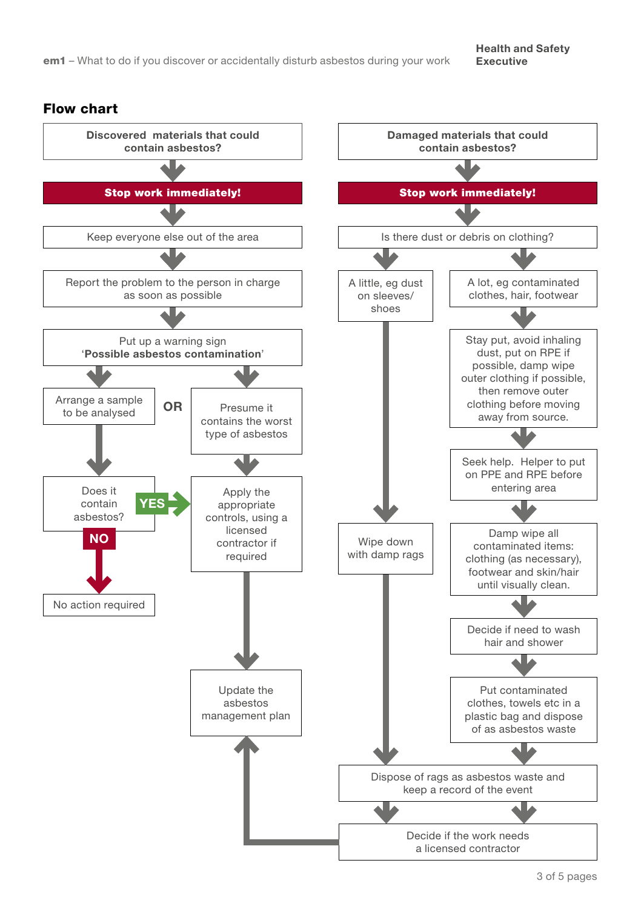#### Flow chart

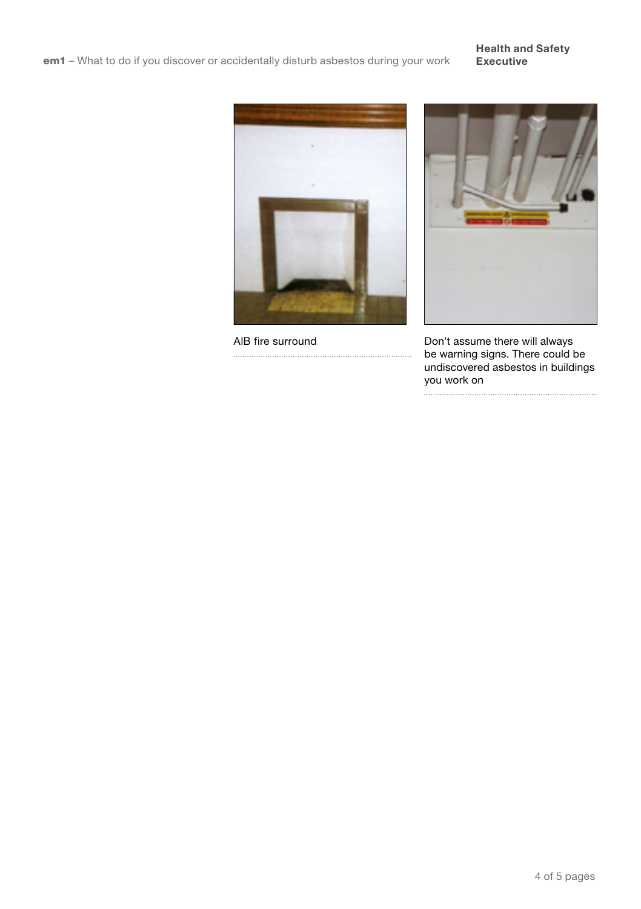#### Health and Safety Executive





AIB fire surround Don't assume there will always be warning signs. There could be undiscovered asbestos in buildings you work on

 $\begin{minipage}{0.5\textwidth} \begin{tabular}{|l|l|l|} \hline \textbf{a} & \textbf{b} & \textbf{c} & \textbf{c} & \textbf{c} & \textbf{c} & \textbf{c} & \textbf{c} & \textbf{c} & \textbf{c} & \textbf{c} & \textbf{c} & \textbf{c} & \textbf{c} & \textbf{c} & \textbf{c} & \textbf{c} & \textbf{c} \\ \hline \textbf{a} & \textbf{b} & \textbf{c} & \textbf{b} & \textbf{c} & \textbf{c} & \textbf{c} & \textbf{c} & \textbf{$